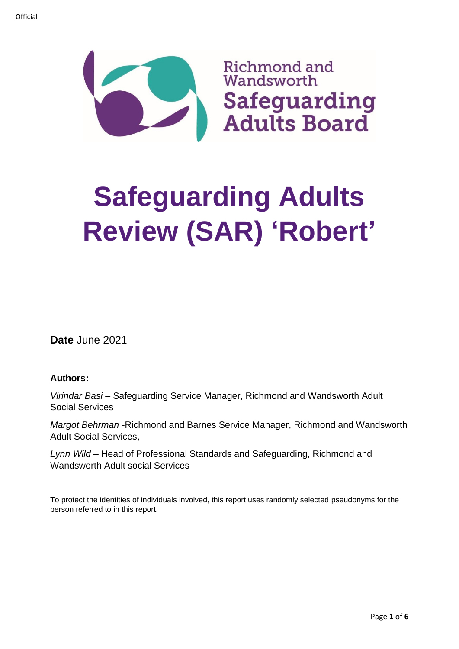

# **Safeguarding Adults Review (SAR) 'Robert'**

**Date** June 2021

## **Authors:**

*Virindar Basi* – Safeguarding Service Manager, Richmond and Wandsworth Adult Social Services

*Margot Behrman* -Richmond and Barnes Service Manager, Richmond and Wandsworth Adult Social Services,

*Lynn Wild* – Head of Professional Standards and Safeguarding, Richmond and Wandsworth Adult social Services

To protect the identities of individuals involved, this report uses randomly selected pseudonyms for the person referred to in this report.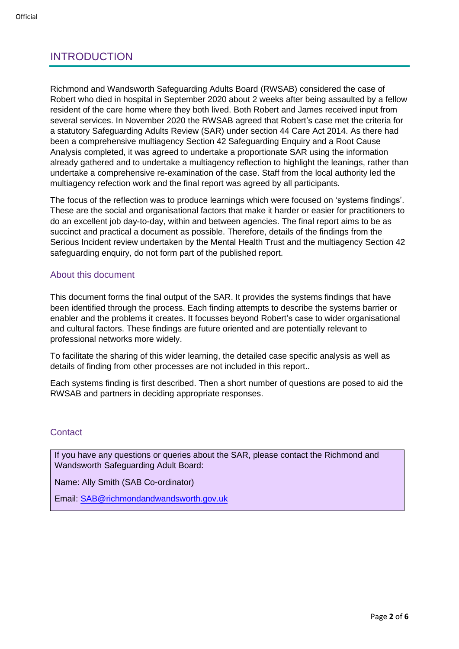# INTRODUCTION

Richmond and Wandsworth Safeguarding Adults Board (RWSAB) considered the case of Robert who died in hospital in September 2020 about 2 weeks after being assaulted by a fellow resident of the care home where they both lived. Both Robert and James received input from several services. In November 2020 the RWSAB agreed that Robert's case met the criteria for a statutory Safeguarding Adults Review (SAR) under section 44 Care Act 2014. As there had been a comprehensive multiagency Section 42 Safeguarding Enquiry and a Root Cause Analysis completed, it was agreed to undertake a proportionate SAR using the information already gathered and to undertake a multiagency reflection to highlight the leanings, rather than undertake a comprehensive re-examination of the case. Staff from the local authority led the multiagency refection work and the final report was agreed by all participants.

The focus of the reflection was to produce learnings which were focused on 'systems findings'. These are the social and organisational factors that make it harder or easier for practitioners to do an excellent job day-to-day, within and between agencies. The final report aims to be as succinct and practical a document as possible. Therefore, details of the findings from the Serious Incident review undertaken by the Mental Health Trust and the multiagency Section 42 safeguarding enquiry, do not form part of the published report.

## About this document

This document forms the final output of the SAR. It provides the systems findings that have been identified through the process. Each finding attempts to describe the systems barrier or enabler and the problems it creates. It focusses beyond Robert's case to wider organisational and cultural factors. These findings are future oriented and are potentially relevant to professional networks more widely.

To facilitate the sharing of this wider learning, the detailed case specific analysis as well as details of finding from other processes are not included in this report..

Each systems finding is first described. Then a short number of questions are posed to aid the RWSAB and partners in deciding appropriate responses.

## **Contact**

If you have any questions or queries about the SAR, please contact the Richmond and Wandsworth Safeguarding Adult Board:

Name: Ally Smith (SAB Co-ordinator)

Email: [SAB@richmondandwandsworth.gov.uk](mailto:SAB@richmondandwandsworth.gov.uk)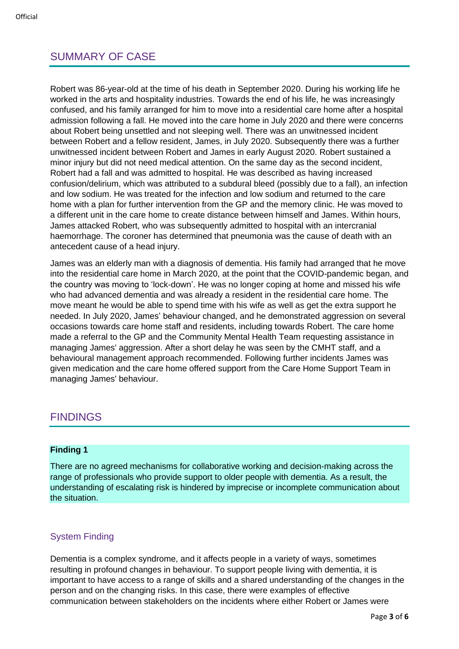# SUMMARY OF CASE

Robert was 86-year-old at the time of his death in September 2020. During his working life he worked in the arts and hospitality industries. Towards the end of his life, he was increasingly confused, and his family arranged for him to move into a residential care home after a hospital admission following a fall. He moved into the care home in July 2020 and there were concerns about Robert being unsettled and not sleeping well. There was an unwitnessed incident between Robert and a fellow resident, James, in July 2020. Subsequently there was a further unwitnessed incident between Robert and James in early August 2020. Robert sustained a minor injury but did not need medical attention. On the same day as the second incident, Robert had a fall and was admitted to hospital. He was described as having increased confusion/delirium, which was attributed to a subdural bleed (possibly due to a fall), an infection and low sodium. He was treated for the infection and low sodium and returned to the care home with a plan for further intervention from the GP and the memory clinic. He was moved to a different unit in the care home to create distance between himself and James. Within hours, James attacked Robert, who was subsequently admitted to hospital with an intercranial haemorrhage. The coroner has determined that pneumonia was the cause of death with an antecedent cause of a head injury.

James was an elderly man with a diagnosis of dementia. His family had arranged that he move into the residential care home in March 2020, at the point that the COVID-pandemic began, and the country was moving to 'lock-down'. He was no longer coping at home and missed his wife who had advanced dementia and was already a resident in the residential care home. The move meant he would be able to spend time with his wife as well as get the extra support he needed. In July 2020, James' behaviour changed, and he demonstrated aggression on several occasions towards care home staff and residents, including towards Robert. The care home made a referral to the GP and the Community Mental Health Team requesting assistance in managing James' aggression. After a short delay he was seen by the CMHT staff, and a behavioural management approach recommended. Following further incidents James was given medication and the care home offered support from the Care Home Support Team in managing James' behaviour.

## FINDINGS

#### **Finding 1**

There are no agreed mechanisms for collaborative working and decision-making across the range of professionals who provide support to older people with dementia. As a result, the understanding of escalating risk is hindered by imprecise or incomplete communication about the situation.

## System Finding

Dementia is a complex syndrome, and it affects people in a variety of ways, sometimes resulting in profound changes in behaviour. To support people living with dementia, it is important to have access to a range of skills and a shared understanding of the changes in the person and on the changing risks. In this case, there were examples of effective communication between stakeholders on the incidents where either Robert or James were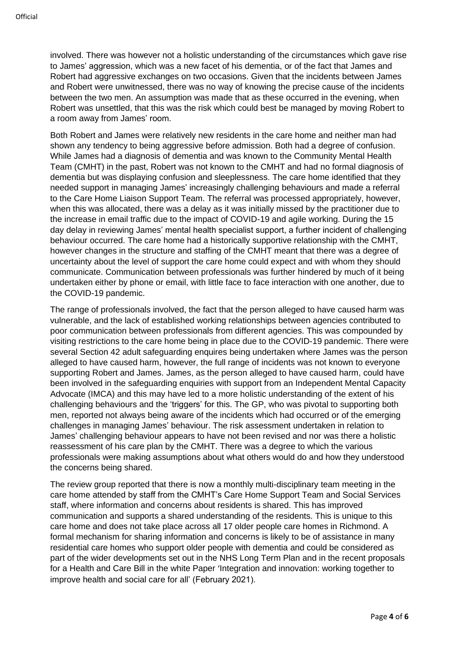involved. There was however not a holistic understanding of the circumstances which gave rise to James' aggression, which was a new facet of his dementia, or of the fact that James and Robert had aggressive exchanges on two occasions. Given that the incidents between James and Robert were unwitnessed, there was no way of knowing the precise cause of the incidents between the two men. An assumption was made that as these occurred in the evening, when Robert was unsettled, that this was the risk which could best be managed by moving Robert to a room away from James' room.

Both Robert and James were relatively new residents in the care home and neither man had shown any tendency to being aggressive before admission. Both had a degree of confusion. While James had a diagnosis of dementia and was known to the Community Mental Health Team (CMHT) in the past, Robert was not known to the CMHT and had no formal diagnosis of dementia but was displaying confusion and sleeplessness. The care home identified that they needed support in managing James' increasingly challenging behaviours and made a referral to the Care Home Liaison Support Team. The referral was processed appropriately, however, when this was allocated, there was a delay as it was initially missed by the practitioner due to the increase in email traffic due to the impact of COVID-19 and agile working. During the 15 day delay in reviewing James' mental health specialist support, a further incident of challenging behaviour occurred. The care home had a historically supportive relationship with the CMHT, however changes in the structure and staffing of the CMHT meant that there was a degree of uncertainty about the level of support the care home could expect and with whom they should communicate. Communication between professionals was further hindered by much of it being undertaken either by phone or email, with little face to face interaction with one another, due to the COVID-19 pandemic.

The range of professionals involved, the fact that the person alleged to have caused harm was vulnerable, and the lack of established working relationships between agencies contributed to poor communication between professionals from different agencies. This was compounded by visiting restrictions to the care home being in place due to the COVID-19 pandemic. There were several Section 42 adult safeguarding enquires being undertaken where James was the person alleged to have caused harm, however, the full range of incidents was not known to everyone supporting Robert and James. James, as the person alleged to have caused harm, could have been involved in the safeguarding enquiries with support from an Independent Mental Capacity Advocate (IMCA) and this may have led to a more holistic understanding of the extent of his challenging behaviours and the 'triggers' for this. The GP, who was pivotal to supporting both men, reported not always being aware of the incidents which had occurred or of the emerging challenges in managing James' behaviour. The risk assessment undertaken in relation to James' challenging behaviour appears to have not been revised and nor was there a holistic reassessment of his care plan by the CMHT. There was a degree to which the various professionals were making assumptions about what others would do and how they understood the concerns being shared.

The review group reported that there is now a monthly multi-disciplinary team meeting in the care home attended by staff from the CMHT's Care Home Support Team and Social Services staff, where information and concerns about residents is shared. This has improved communication and supports a shared understanding of the residents. This is unique to this care home and does not take place across all 17 older people care homes in Richmond. A formal mechanism for sharing information and concerns is likely to be of assistance in many residential care homes who support older people with dementia and could be considered as part of the wider developments set out in the NHS Long Term Plan and in the recent proposals for a Health and Care Bill in the white Paper 'Integration and innovation: working together to improve health and social care for all' (February 2021).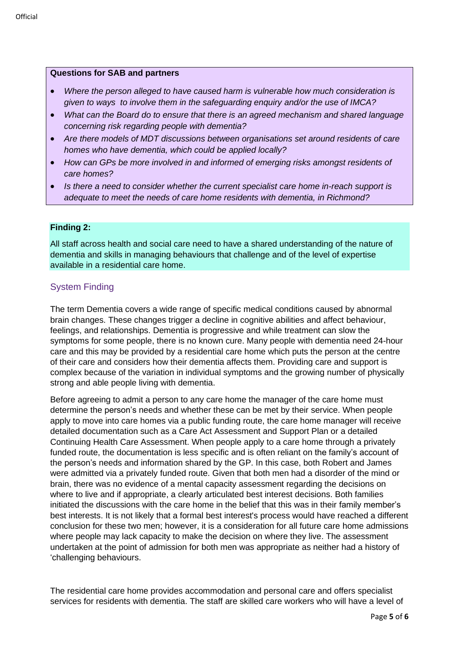#### **Questions for SAB and partners**

- *Where the person alleged to have caused harm is vulnerable how much consideration is given to ways to involve them in the safeguarding enquiry and/or the use of IMCA?*
- *What can the Board do to ensure that there is an agreed mechanism and shared language concerning risk regarding people with dementia?*
- *Are there models of MDT discussions between organisations set around residents of care homes who have dementia, which could be applied locally?*
- *How can GPs be more involved in and informed of emerging risks amongst residents of care homes?*
- *Is there a need to consider whether the current specialist care home in-reach support is adequate to meet the needs of care home residents with dementia, in Richmond?*

#### **Finding 2:**

All staff across health and social care need to have a shared understanding of the nature of dementia and skills in managing behaviours that challenge and of the level of expertise available in a residential care home.

#### System Finding

The term Dementia covers a wide range of specific medical conditions caused by abnormal brain changes. These changes trigger a decline in cognitive abilities and affect behaviour, feelings, and relationships. Dementia is progressive and while treatment can slow the symptoms for some people, there is no known cure. Many people with dementia need 24-hour care and this may be provided by a residential care home which puts the person at the centre of their care and considers how their dementia affects them. Providing care and support is complex because of the variation in individual symptoms and the growing number of physically strong and able people living with dementia.

Before agreeing to admit a person to any care home the manager of the care home must determine the person's needs and whether these can be met by their service. When people apply to move into care homes via a public funding route, the care home manager will receive detailed documentation such as a Care Act Assessment and Support Plan or a detailed Continuing Health Care Assessment. When people apply to a care home through a privately funded route, the documentation is less specific and is often reliant on the family's account of the person's needs and information shared by the GP. In this case, both Robert and James were admitted via a privately funded route. Given that both men had a disorder of the mind or brain, there was no evidence of a mental capacity assessment regarding the decisions on where to live and if appropriate, a clearly articulated best interest decisions. Both families initiated the discussions with the care home in the belief that this was in their family member's best interests. It is not likely that a formal best interest's process would have reached a different conclusion for these two men; however, it is a consideration for all future care home admissions where people may lack capacity to make the decision on where they live. The assessment undertaken at the point of admission for both men was appropriate as neither had a history of 'challenging behaviours.

The residential care home provides accommodation and personal care and offers specialist services for residents with dementia. The staff are skilled care workers who will have a level of